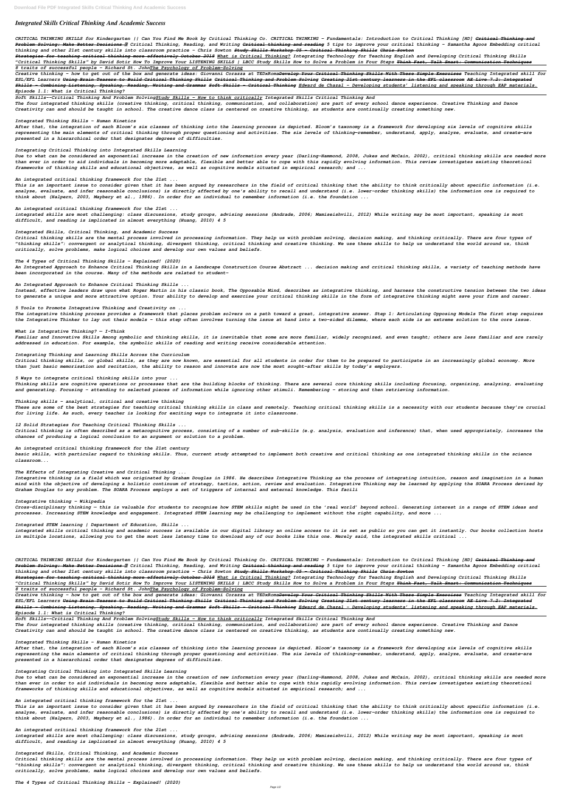# *Integrated Skills Critical Thinking And Academic Success*

*CRITICAL THINKING SKILLS for Kindergarten || Can You Find Me Book by Critical Thinking Co. CRITICAL THINKING - Fundamentals: Introduction to Critical Thinking [HD] Critical Thinking and Problem Solving: Make Better Decisions ✓ Critical Thinking, Reading, and Writing Critical thinking and reading 5 tips to improve your critical thinking - Samantha Agoos Embedding critical thinking and other 21st century skills into classroom practice - Chris Sowton Study Skills Workshop 05 - Critical Thinking Skills Chris Sowton*

*Strategies for teaching critical thinking more effectively October 2018 What is Critical Thinking? Integrating Technology for Teaching English and Developing Critical Thinking Skills "Critical Thinking Skills" by David Sotir How To Improve Your LISTENING SKILLS | LBCC Study Skills How to Solve a Problem in Four Steps Think Fast, Talk Smart: Communication Techniques 8 traits of successful people - Richard St. JohnThe Psychology of Problem-Solving*

*Creative thinking - how to get out of the box and generate ideas: Giovanni Corazza at TEDxRomaDevelop Your Critical Thinking Skills With These Simple Exercises Teaching Integrated skill for ESL/EFL Learners Using Brain Teasers to Build Critical Thinking Skills Critical Thinking and Problem Solving Creating 21st century learners in the EFL classroom AE Live 7.2: Integrated Skills - Combining Listening, Speaking, Reading, Writing and Grammar Soft Skills - Critical Thinking Edward de Chazal - Developing students' listening and speaking through EAP materials. Episode 1.1: What is Critical Thinking?* 

#### *Soft Skills--Critical Thinking And Problem SolvingStudy Skills – How to think critically Integrated Skills Critical Thinking And*

*The four integrated thinking skills (creative thinking, critical thinking, communication, and collaboration) are part of every school dance experience. Creative Thinking and Dance Creativity can and should be taught in school. The creative dance class is centered on creative thinking, as students are continually creating something new.*

### *Integrated Thinking Skills – Human Kinetics*

*After that, the integration of each Bloom's six classes of thinking into the learning process is depicted. Bloom's taxonomy is a framework for developing six levels of cognitive skills representing the main elements of critical thinking through proper questioning and activities. The six levels of thinking—remember, understand, apply, analyze, evaluate, and create—are presented in a hierarchical order that designates degrees of difficulties.*

### *Integrating Critical Thinking into Integrated Skills Learning*

*Due to what can be considered an exponential increase in the creation of new information every year (Darling-Hammond, 2008, Jukes and McCain, 2002), critical thinking skills are needed more than ever in order to aid individuals in becoming more adaptable, flexible and better able to cope with this rapidly evolving information. This review investigates existing theoretical frameworks of thinking skills and educational objectives, as well as cognitive models situated in empirical research; and ...*

# *An integrated critical thinking framework for the 21st ...*

*This is an important issue to consider given that it has been argued by researchers in the field of critical thinking that the ability to think critically about specific information (i.e. analyse, evaluate, and infer reasonable conclusions) is directly affected by one's ability to recall and understand (i.e. lower-order thinking skills) the information one is required to think about (Halpern, 2003, Maybery et al., 1986). In order for an individual to remember information (i.e. the foundation ...*

# *An integrated critical thinking framework for the 21st ...*

*integrated skills are most challenging: class discussions, study groups, advising sessions (Andrade, 2006; Mamiseishvili, 2012) While writing may be most important, speaking is most difficult, and reading is implicated in almost everything (Huang, 2010) 4 5*

### *Integrated Skills, Critical Thinking, and Academic Success*

*Critical thinking skills are the mental process involved in processing information. They help us with problem solving, decision making, and thinking critically. There are four types of "thinking skills": convergent or analytical thinking, divergent thinking, critical thinking and creative thinking. We use these skills to help us understand the world around us, think critically, solve problems, make logical choices and develop our own values and beliefs.*

### *The 4 Types of Critical Thinking Skills - Explained! (2020)*

*An Integrated Approach to Enhance Critical Thinking Skills in a Landscape Construction Course Abstract ... decision making and critical thinking skills, a variety of teaching methods have been incorporated in the course. Many of the methods are related to student-*

### *An Integrated Approach to Enhance Critical Thinking Skills ...*

*Instead, effective leaders draw upon what Roger Martin in his classic book, The Opposable Mind, describes as integrative thinking, and harness the constructive tension between the two ideas to generate a unique and more attractive option. Your ability to develop and exercise your critical thinking skills in the form of integrative thinking might save your firm and career.*

### *5 Tools to Promote Integrative Thinking and Creativity on ...*

*The integrative thinking process provides a framework that places problem solvers on a path toward a great, integrative answer. Step 1: Articulating Opposing Models The first step requires the Integrative Thinker to lay out their models - this step often involves turning the issue at hand into a two-sided dilemma, where each side is an extreme solution to the core issue.*

### *What is Integrative Thinking? — I-Think*

*Familiar and Innovative Skills Among symbolic and thinking skills, it is inevitable that some are more familiar, widely recognized, and even taught; others are less familiar and are rarely addressed in education. For example, the symbolic skills of reading and writing receive considerable attention.*

### *Integrating Thinking and Learning Skills Across the Curriculum*

*Critical thinking skills, or global skills, as they are now known, are essential for all students in order for them to be prepared to participate in an increasingly global economy. More than just basic memorisation and recitation, the ability to reason and innovate are now the most sought-after skills by today's employers.*

*5 Ways to integrate critical thinking skills into your ...*

*Thinking skills are cognitive operations or processes that are the building blocks of thinking. There are several core thinking skills including focusing, organizing, analyzing, evaluating and generating. Focusing – attending to selected pieces of information while ignoring other stimuli. Remembering – storing and then retrieving information.*

### *Thinking skills - analytical, critical and creative thinking*

*These are some of the best strategies for teaching critical thinking skills in class and remotely. Teaching critical thinking skills is a necessity with our students because they're crucial for living life. As such, every teacher is looking for exciting ways to integrate it into classrooms.*

### *12 Solid Strategies for Teaching Critical Thinking Skills ...*

*Critical thinking is often described as a metacognitive process, consisting of a number of sub-skills (e.g. analysis, evaluation and inference) that, when used appropriately, increases the chances of producing a logical conclusion to an argument or solution to a problem.*

### *An integrated critical thinking framework for the 21st century*

*basic skills, with particular regard to thinking skills. Thus, current study attempted to implement both creative and critical thinking as one integrated thinking skills in the science classroom...*

# *The Effects of Integrating Creative and Critical Thinking ...*

*Integrative thinking is a field which was originated by Graham Douglas in 1986. He describes Integrative Thinking as the process of integrating intuition, reason and imagination in a human mind with the objective of developing a holistic continuum of strategy, tactics, action, review and evaluation. Integrative Thinking may be learned by applying the SOARA Process devised by Graham Douglas to any problem. The SOARA Process employs a set of triggers of internal and external knowledge. This facili*

### *Integrative thinking - Wikipedia*

*Cross-disciplinary thinking — this is valuable for students to recognise how STEM skills might be used in the 'real world' beyond school. Generating interest in a range of STEM ideas and processes. Increasing STEM knowledge and engagement. Integrated STEM learning may be challenging to implement without the right capability, and more ...*

*Integrated STEM learning | Department of Education, Skills ...*

*integrated skills critical thinking and academic success is available in our digital library an online access to it is set as public so you can get it instantly. Our books collection hosts in multiple locations, allowing you to get the most less latency time to download any of our books like this one. Merely said, the integrated skills critical ...*

*CRITICAL THINKING SKILLS for Kindergarten || Can You Find Me Book by Critical Thinking Co. CRITICAL THINKING - Fundamentals: Introduction to Critical Thinking [HD] Critical Thinking and Problem Solving: Make Better Decisions ✓ Critical Thinking, Reading, and Writing Critical thinking and reading 5 tips to improve your critical thinking - Samantha Agoos Embedding critical thinking and other 21st century skills into classroom practice - Chris Sowton Study Skills Workshop 05 - Critical Thinking Skills Chris Sowton*

*Strategies for teaching critical thinking more effectively October 2018 What is Critical Thinking? Integrating Technology for Teaching English and Developing Critical Thinking Skills "Critical Thinking Skills" by David Sotir How To Improve Your LISTENING SKILLS | LBCC Study Skills How to Solve a Problem in Four Steps Think Fast, Talk Smart: Communication Techniques*

*8 traits of successful people - Richard St. JohnThe Psychology of Problem-Solving*

*Creative thinking - how to get out of the box and generate ideas: Giovanni Corazza at TEDxRomaDevelop Your Critical Thinking Skills With These Simple Exercises Teaching Integrated skill for ESL/EFL Learners Using Brain Teasers to Build Critical Thinking Skills Critical Thinking and Problem Solving Creating 21st century learners in the EFL classroom AE Live 7.2: Integrated*

*Skills - Combining Listening, Speaking, Reading, Writing and Grammar Soft Skills - Critical Thinking Edward de Chazal - Developing students' listening and speaking through EAP materials. Episode 1.1: What is Critical Thinking?* 

*Soft Skills--Critical Thinking And Problem SolvingStudy Skills – How to think critically Integrated Skills Critical Thinking And The four integrated thinking skills (creative thinking, critical thinking, communication, and collaboration) are part of every school dance experience. Creative Thinking and Dance Creativity can and should be taught in school. The creative dance class is centered on creative thinking, as students are continually creating something new.*

#### *Integrated Thinking Skills – Human Kinetics*

*After that, the integration of each Bloom's six classes of thinking into the learning process is depicted. Bloom's taxonomy is a framework for developing six levels of cognitive skills representing the main elements of critical thinking through proper questioning and activities. The six levels of thinking—remember, understand, apply, analyze, evaluate, and create—are presented in a hierarchical order that designates degrees of difficulties.*

#### *Integrating Critical Thinking into Integrated Skills Learning*

*Due to what can be considered an exponential increase in the creation of new information every year (Darling-Hammond, 2008, Jukes and McCain, 2002), critical thinking skills are needed more than ever in order to aid individuals in becoming more adaptable, flexible and better able to cope with this rapidly evolving information. This review investigates existing theoretical frameworks of thinking skills and educational objectives, as well as cognitive models situated in empirical research; and ...*

#### *An integrated critical thinking framework for the 21st ...*

*This is an important issue to consider given that it has been argued by researchers in the field of critical thinking that the ability to think critically about specific information (i.e. analyse, evaluate, and infer reasonable conclusions) is directly affected by one's ability to recall and understand (i.e. lower-order thinking skills) the information one is required to think about (Halpern, 2003, Maybery et al., 1986). In order for an individual to remember information (i.e. the foundation ...*

#### *An integrated critical thinking framework for the 21st ...*

*integrated skills are most challenging: class discussions, study groups, advising sessions (Andrade, 2006; Mamiseishvili, 2012) While writing may be most important, speaking is most difficult, and reading is implicated in almost everything (Huang, 2010) 4 5*

#### *Integrated Skills, Critical Thinking, and Academic Success*

*Critical thinking skills are the mental process involved in processing information. They help us with problem solving, decision making, and thinking critically. There are four types of "thinking skills": convergent or analytical thinking, divergent thinking, critical thinking and creative thinking. We use these skills to help us understand the world around us, think critically, solve problems, make logical choices and develop our own values and beliefs.*

*The 4 Types of Critical Thinking Skills - Explained! (2020)*